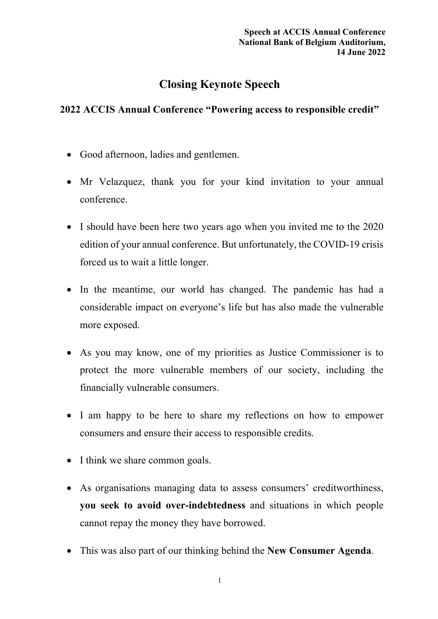## **Closing Keynote Speech**

## **2022 ACCIS Annual Conference "Powering access to responsible credit"**

- Good afternoon, ladies and gentlemen.
- Mr Velazquez, thank you for your kind invitation to your annual conference.
- I should have been here two years ago when you invited me to the 2020 edition of your annual conference. But unfortunately, the COVID-19 crisis forced us to wait a little longer.
- In the meantime, our world has changed. The pandemic has had a considerable impact on everyone's life but has also made the vulnerable more exposed.
- As you may know, one of my priorities as Justice Commissioner is to protect the more vulnerable members of our society, including the financially vulnerable consumers.
- I am happy to be here to share my reflections on how to empower consumers and ensure their access to responsible credits.
- I think we share common goals.
- As organisations managing data to assess consumers' creditworthiness, **you seek to avoid over-indebtedness** and situations in which people cannot repay the money they have borrowed.
- This was also part of our thinking behind the **New Consumer Agenda**.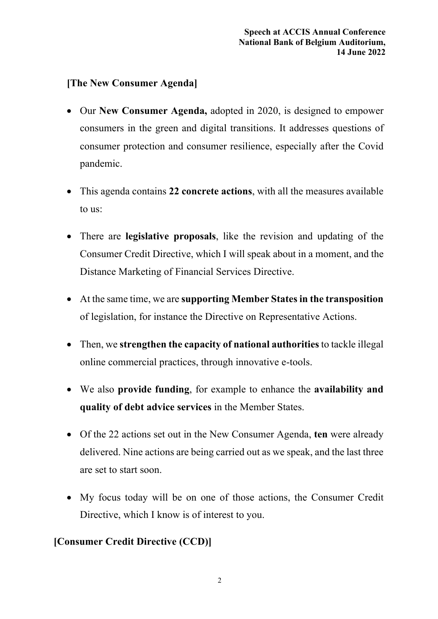## **[The New Consumer Agenda]**

- Our **New Consumer Agenda,** adopted in 2020, is designed to empower consumers in the green and digital transitions. It addresses questions of consumer protection and consumer resilience, especially after the Covid pandemic.
- This agenda contains **22 concrete actions**, with all the measures available to us:
- There are **legislative proposals**, like the revision and updating of the Consumer Credit Directive, which I will speak about in a moment, and the Distance Marketing of Financial Services Directive.
- At the same time, we are **supporting Member States in the transposition** of legislation, for instance the Directive on Representative Actions.
- Then, we **strengthen the capacity of national authorities** to tackle illegal online commercial practices, through innovative e-tools.
- We also **provide funding**, for example to enhance the **availability and quality of debt advice services** in the Member States.
- Of the 22 actions set out in the New Consumer Agenda, **ten** were already delivered. Nine actions are being carried out as we speak, and the last three are set to start soon.
- My focus today will be on one of those actions, the Consumer Credit Directive, which I know is of interest to you.

## **[Consumer Credit Directive (CCD)]**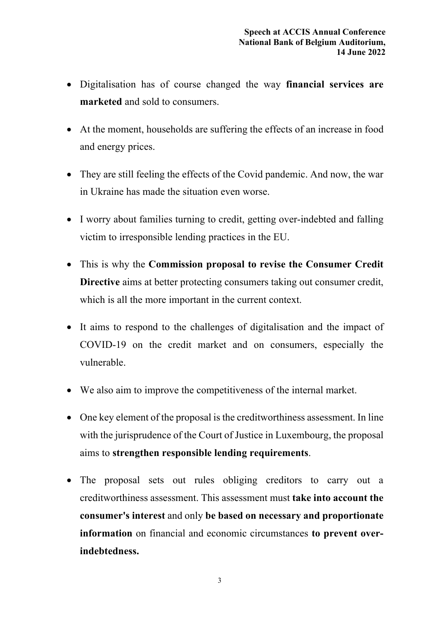- Digitalisation has of course changed the way **financial services are marketed** and sold to consumers.
- At the moment, households are suffering the effects of an increase in food and energy prices.
- They are still feeling the effects of the Covid pandemic. And now, the war in Ukraine has made the situation even worse.
- I worry about families turning to credit, getting over-indebted and falling victim to irresponsible lending practices in the EU.
- This is why the **Commission proposal to revise the Consumer Credit Directive** aims at better protecting consumers taking out consumer credit, which is all the more important in the current context.
- It aims to respond to the challenges of digitalisation and the impact of COVID-19 on the credit market and on consumers, especially the vulnerable.
- We also aim to improve the competitiveness of the internal market.
- One key element of the proposal is the creditworthiness assessment. In line with the jurisprudence of the Court of Justice in Luxembourg, the proposal aims to **strengthen responsible lending requirements**.
- The proposal sets out rules obliging creditors to carry out a creditworthiness assessment. This assessment must **take into account the consumer's interest** and only **be based on necessary and proportionate information** on financial and economic circumstances **to prevent overindebtedness.**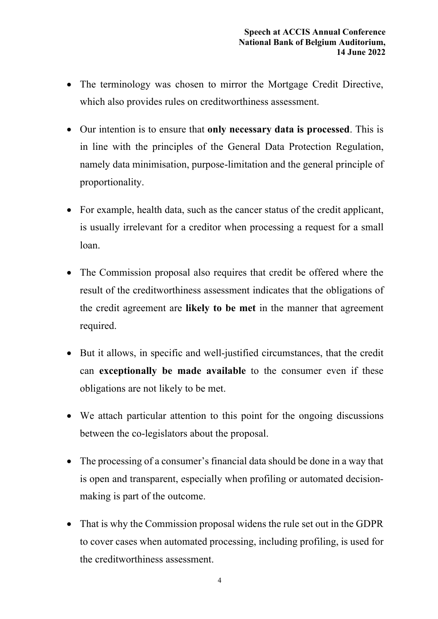- The terminology was chosen to mirror the Mortgage Credit Directive, which also provides rules on creditworthiness assessment.
- Our intention is to ensure that **only necessary data is processed**. This is in line with the principles of the General Data Protection Regulation, namely data minimisation, purpose-limitation and the general principle of proportionality.
- For example, health data, such as the cancer status of the credit applicant, is usually irrelevant for a creditor when processing a request for a small loan.
- The Commission proposal also requires that credit be offered where the result of the creditworthiness assessment indicates that the obligations of the credit agreement are **likely to be met** in the manner that agreement required.
- But it allows, in specific and well-justified circumstances, that the credit can **exceptionally be made available** to the consumer even if these obligations are not likely to be met.
- We attach particular attention to this point for the ongoing discussions between the co-legislators about the proposal.
- The processing of a consumer's financial data should be done in a way that is open and transparent, especially when profiling or automated decisionmaking is part of the outcome.
- That is why the Commission proposal widens the rule set out in the GDPR to cover cases when automated processing, including profiling, is used for the creditworthiness assessment.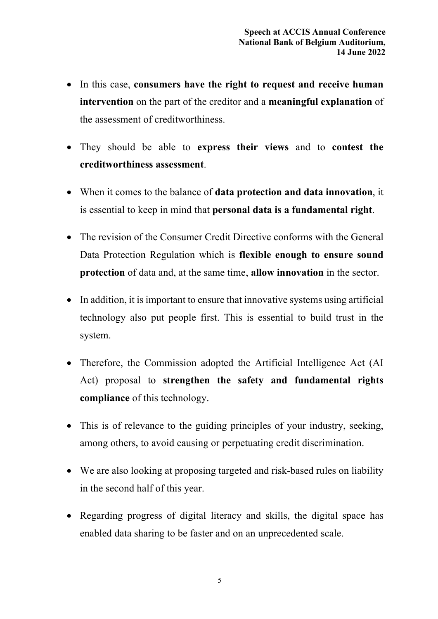- In this case, **consumers have the right to request and receive human intervention** on the part of the creditor and a **meaningful explanation** of the assessment of creditworthiness.
- They should be able to **express their views** and to **contest the creditworthiness assessment**.
- When it comes to the balance of **data protection and data innovation**, it is essential to keep in mind that **personal data is a fundamental right**.
- The revision of the Consumer Credit Directive conforms with the General Data Protection Regulation which is **flexible enough to ensure sound protection** of data and, at the same time, **allow innovation** in the sector.
- In addition, it is important to ensure that innovative systems using artificial technology also put people first. This is essential to build trust in the system.
- Therefore, the Commission adopted the Artificial Intelligence Act (AI) Act) proposal to **strengthen the safety and fundamental rights compliance** of this technology.
- This is of relevance to the guiding principles of your industry, seeking, among others, to avoid causing or perpetuating credit discrimination.
- We are also looking at proposing targeted and risk-based rules on liability in the second half of this year.
- Regarding progress of digital literacy and skills, the digital space has enabled data sharing to be faster and on an unprecedented scale.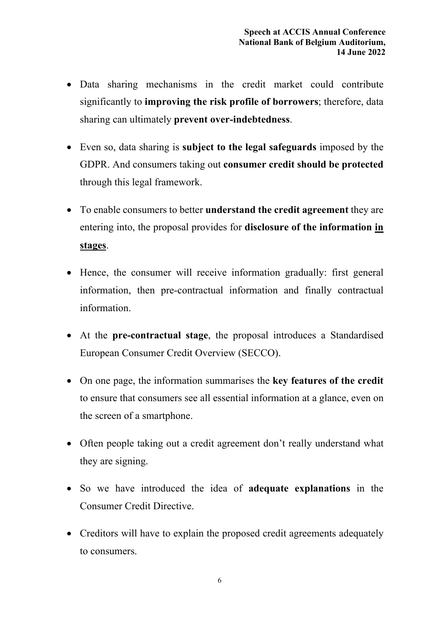- Data sharing mechanisms in the credit market could contribute significantly to **improving the risk profile of borrowers**; therefore, data sharing can ultimately **prevent over-indebtedness**.
- Even so, data sharing is **subject to the legal safeguards** imposed by the GDPR. And consumers taking out **consumer credit should be protected**  through this legal framework.
- To enable consumers to better **understand the credit agreement** they are entering into, the proposal provides for **disclosure of the information in stages**.
- Hence, the consumer will receive information gradually: first general information, then pre-contractual information and finally contractual information.
- At the **pre-contractual stage**, the proposal introduces a Standardised European Consumer Credit Overview (SECCO).
- On one page, the information summarises the **key features of the credit** to ensure that consumers see all essential information at a glance, even on the screen of a smartphone.
- Often people taking out a credit agreement don't really understand what they are signing.
- So we have introduced the idea of **adequate explanations** in the Consumer Credit Directive.
- Creditors will have to explain the proposed credit agreements adequately to consumers.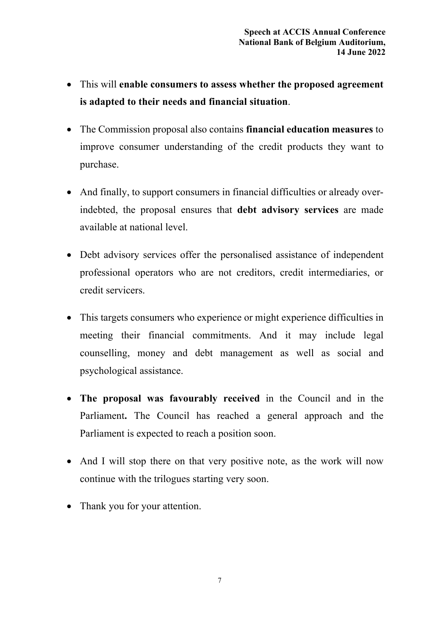- This will **enable consumers to assess whether the proposed agreement is adapted to their needs and financial situation**.
- The Commission proposal also contains **financial education measures** to improve consumer understanding of the credit products they want to purchase.
- And finally, to support consumers in financial difficulties or already overindebted, the proposal ensures that **debt advisory services** are made available at national level.
- Debt advisory services offer the personalised assistance of independent professional operators who are not creditors, credit intermediaries, or credit servicers.
- This targets consumers who experience or might experience difficulties in meeting their financial commitments. And it may include legal counselling, money and debt management as well as social and psychological assistance.
- **The proposal was favourably received** in the Council and in the Parliament**.** The Council has reached a general approach and the Parliament is expected to reach a position soon.
- And I will stop there on that very positive note, as the work will now continue with the trilogues starting very soon.
- Thank you for your attention.